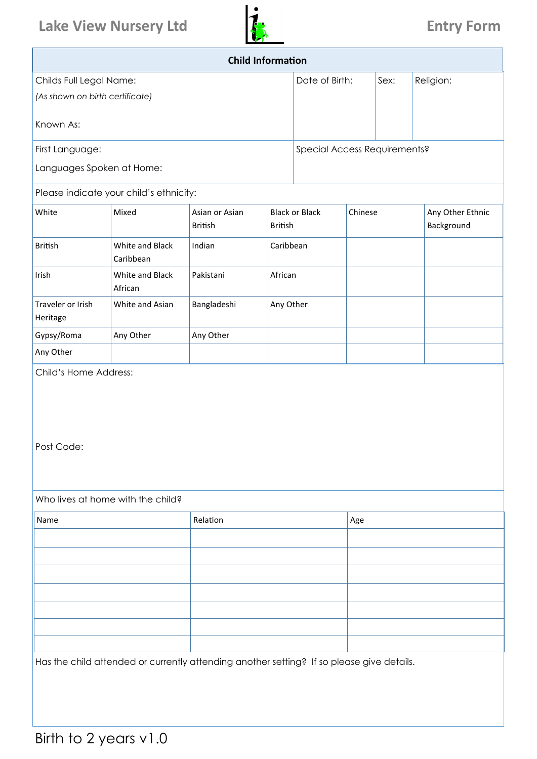# Lake View Nursery Ltd **Entry Form Entry Form**



| <b>Child Information</b>        |                                                                                           |                                  |           |                                         |     |         |                                |  |  |  |
|---------------------------------|-------------------------------------------------------------------------------------------|----------------------------------|-----------|-----------------------------------------|-----|---------|--------------------------------|--|--|--|
| Childs Full Legal Name:         |                                                                                           |                                  |           | Date of Birth:                          |     | Sex:    | Religion:                      |  |  |  |
| (As shown on birth certificate) |                                                                                           |                                  |           |                                         |     |         |                                |  |  |  |
| Known As:                       |                                                                                           |                                  |           |                                         |     |         |                                |  |  |  |
| First Language:                 |                                                                                           |                                  |           | Special Access Requirements?            |     |         |                                |  |  |  |
| Languages Spoken at Home:       |                                                                                           |                                  |           |                                         |     |         |                                |  |  |  |
|                                 | Please indicate your child's ethnicity:                                                   |                                  |           |                                         |     |         |                                |  |  |  |
| White                           | Mixed                                                                                     | Asian or Asian<br><b>British</b> |           | <b>Black or Black</b><br><b>British</b> |     | Chinese | Any Other Ethnic<br>Background |  |  |  |
| <b>British</b>                  | White and Black<br>Caribbean                                                              | Indian                           | Caribbean |                                         |     |         |                                |  |  |  |
| Irish                           | White and Black<br>African                                                                | Pakistani                        | African   |                                         |     |         |                                |  |  |  |
| Traveler or Irish<br>Heritage   | White and Asian                                                                           | Bangladeshi                      | Any Other |                                         |     |         |                                |  |  |  |
| Gypsy/Roma                      | Any Other                                                                                 | Any Other                        |           |                                         |     |         |                                |  |  |  |
| Any Other                       |                                                                                           |                                  |           |                                         |     |         |                                |  |  |  |
| Post Code:                      |                                                                                           |                                  |           |                                         |     |         |                                |  |  |  |
|                                 | Who lives at home with the child?                                                         |                                  |           |                                         |     |         |                                |  |  |  |
| Name                            |                                                                                           | Relation                         |           |                                         | Age |         |                                |  |  |  |
|                                 |                                                                                           |                                  |           |                                         |     |         |                                |  |  |  |
|                                 |                                                                                           |                                  |           |                                         |     |         |                                |  |  |  |
|                                 |                                                                                           |                                  |           |                                         |     |         |                                |  |  |  |
|                                 |                                                                                           |                                  |           |                                         |     |         |                                |  |  |  |
|                                 |                                                                                           |                                  |           |                                         |     |         |                                |  |  |  |
|                                 | Has the child attended or currently attending another setting? If so please give details. |                                  |           |                                         |     |         |                                |  |  |  |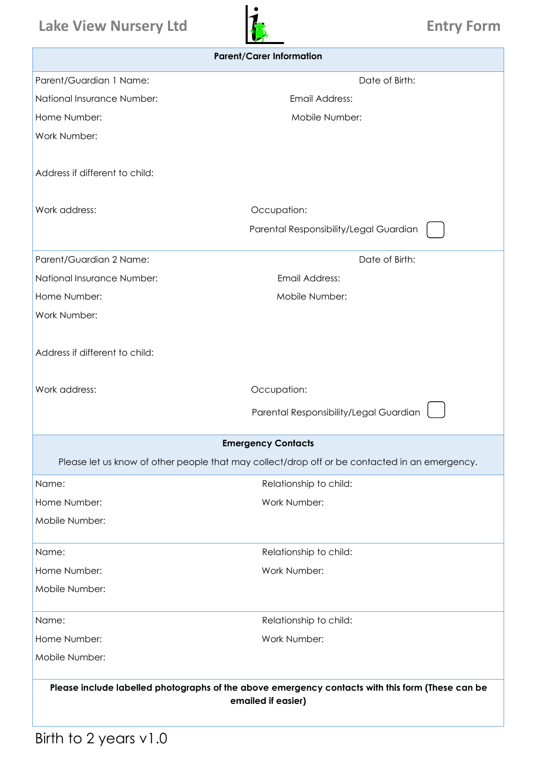# **Lake View Nursery Ltd Entry Form**



| <b>Parent/Carer Information</b>                                                                                        |                                                                                               |  |  |  |  |  |  |  |  |
|------------------------------------------------------------------------------------------------------------------------|-----------------------------------------------------------------------------------------------|--|--|--|--|--|--|--|--|
| Parent/Guardian 1 Name:                                                                                                | Date of Birth:                                                                                |  |  |  |  |  |  |  |  |
| National Insurance Number:                                                                                             | Email Address:                                                                                |  |  |  |  |  |  |  |  |
| Home Number:                                                                                                           | Mobile Number:                                                                                |  |  |  |  |  |  |  |  |
| Work Number:                                                                                                           |                                                                                               |  |  |  |  |  |  |  |  |
|                                                                                                                        |                                                                                               |  |  |  |  |  |  |  |  |
| Address if different to child:                                                                                         |                                                                                               |  |  |  |  |  |  |  |  |
|                                                                                                                        |                                                                                               |  |  |  |  |  |  |  |  |
| Work address:                                                                                                          | Occupation:                                                                                   |  |  |  |  |  |  |  |  |
|                                                                                                                        | Parental Responsibility/Legal Guardian                                                        |  |  |  |  |  |  |  |  |
| Parent/Guardian 2 Name:                                                                                                | Date of Birth:                                                                                |  |  |  |  |  |  |  |  |
| National Insurance Number:                                                                                             | Email Address:                                                                                |  |  |  |  |  |  |  |  |
| Home Number:                                                                                                           | Mobile Number:                                                                                |  |  |  |  |  |  |  |  |
| Work Number:                                                                                                           |                                                                                               |  |  |  |  |  |  |  |  |
|                                                                                                                        |                                                                                               |  |  |  |  |  |  |  |  |
| Address if different to child:                                                                                         |                                                                                               |  |  |  |  |  |  |  |  |
|                                                                                                                        |                                                                                               |  |  |  |  |  |  |  |  |
| Work address:                                                                                                          | Occupation:                                                                                   |  |  |  |  |  |  |  |  |
|                                                                                                                        | Parental Responsibility/Legal Guardian                                                        |  |  |  |  |  |  |  |  |
|                                                                                                                        | <b>Emergency Contacts</b>                                                                     |  |  |  |  |  |  |  |  |
|                                                                                                                        | Please let us know of other people that may collect/drop off or be contacted in an emergency. |  |  |  |  |  |  |  |  |
| Name:                                                                                                                  | Relationship to child:                                                                        |  |  |  |  |  |  |  |  |
| Home Number:                                                                                                           | Work Number:                                                                                  |  |  |  |  |  |  |  |  |
| Mobile Number:                                                                                                         |                                                                                               |  |  |  |  |  |  |  |  |
| Name:                                                                                                                  | Relationship to child:                                                                        |  |  |  |  |  |  |  |  |
| Home Number:                                                                                                           | Work Number:                                                                                  |  |  |  |  |  |  |  |  |
| Mobile Number:                                                                                                         |                                                                                               |  |  |  |  |  |  |  |  |
|                                                                                                                        |                                                                                               |  |  |  |  |  |  |  |  |
| Name:                                                                                                                  | Relationship to child:                                                                        |  |  |  |  |  |  |  |  |
| Home Number:                                                                                                           | Work Number:                                                                                  |  |  |  |  |  |  |  |  |
| Mobile Number:                                                                                                         |                                                                                               |  |  |  |  |  |  |  |  |
| Please include labelled photographs of the above emergency contacts with this form (These can be<br>emailed if easier) |                                                                                               |  |  |  |  |  |  |  |  |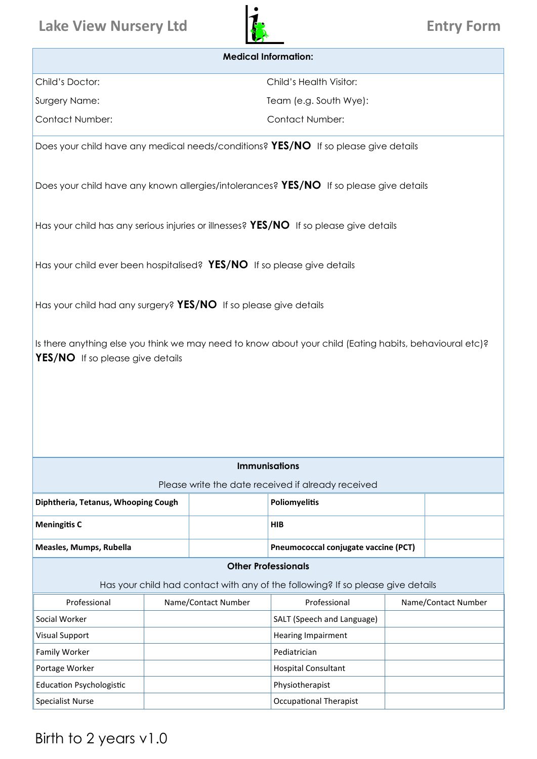### **Lake View Nursery Ltd Entry Form**



## **Medical Information:** Child's Doctor: Child's Health Visitor: Surgery Name: Team (e.g. South Wye): Contact Number: Contact Number: Does your child have any medical needs/conditions? **YES/NO** If so please give details Does your child have any known allergies/intolerances? **YES/NO** If so please give details Has your child has any serious injuries or illnesses? **YES/NO** If so please give details Has your child ever been hospitalised? **YES/NO** If so please give details Has your child had any surgery? **YES/NO** If so please give details Is there anything else you think we may need to know about your child (Eating habits, behavioural etc)? **YES/NO** If so please give details **Immunisations**  Please write the date received if already received **Other Professionals**  Has your child had contact with any of the following? If so please give details **Diphtheria, Tetanus, Whooping Cough Poliomyelitis Meningitis C HIB Measles, Mumps, Rubella Parameters and Personal conservation (PCT) Pneumococcal conjugate vaccine (PCT)** Professional Mame/Contact Number | Professional Name/Contact Number Social Worker **SALT** (Speech and Language) SALT (Speech and Language) Visual Support **Hearing Impairment** Family Worker **Pediatrician** Portage Worker **Hospital Consultant** Education Psychologistic Physiotherapist Specialist Nurse **Container Container Container Container Container Container Container Container Container Container Container Container Container Container Container Container Container Container Container Container Cont**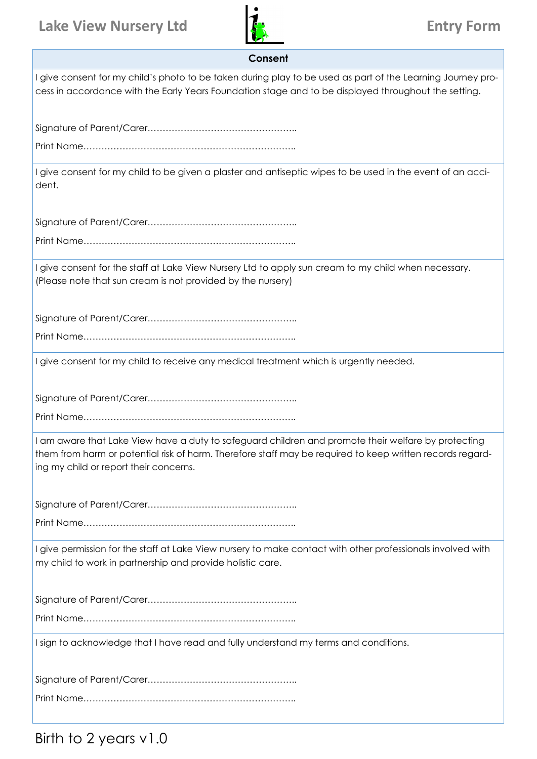## Lake View Nursery Ltd **Entry Form**



| Consent                                                                                                                                                                                                                                                    |
|------------------------------------------------------------------------------------------------------------------------------------------------------------------------------------------------------------------------------------------------------------|
| I give consent for my child's photo to be taken during play to be used as part of the Learning Journey pro-<br>cess in accordance with the Early Years Foundation stage and to be displayed throughout the setting.                                        |
|                                                                                                                                                                                                                                                            |
|                                                                                                                                                                                                                                                            |
| I give consent for my child to be given a plaster and antiseptic wipes to be used in the event of an acci-<br>dent.                                                                                                                                        |
|                                                                                                                                                                                                                                                            |
|                                                                                                                                                                                                                                                            |
| I give consent for the staff at Lake View Nursery Ltd to apply sun cream to my child when necessary.<br>(Please note that sun cream is not provided by the nursery)                                                                                        |
|                                                                                                                                                                                                                                                            |
|                                                                                                                                                                                                                                                            |
| I give consent for my child to receive any medical treatment which is urgently needed.                                                                                                                                                                     |
|                                                                                                                                                                                                                                                            |
|                                                                                                                                                                                                                                                            |
| I am aware that Lake View have a duty to safeguard children and promote their welfare by protecting<br>them from harm or potential risk of harm. Therefore staff may be required to keep written records regard-<br>ing my child or report their concerns. |
|                                                                                                                                                                                                                                                            |
|                                                                                                                                                                                                                                                            |
| I give permission for the staff at Lake View nursery to make contact with other professionals involved with<br>my child to work in partnership and provide holistic care.                                                                                  |
|                                                                                                                                                                                                                                                            |
|                                                                                                                                                                                                                                                            |
| I sign to acknowledge that I have read and fully understand my terms and conditions.                                                                                                                                                                       |
|                                                                                                                                                                                                                                                            |
|                                                                                                                                                                                                                                                            |